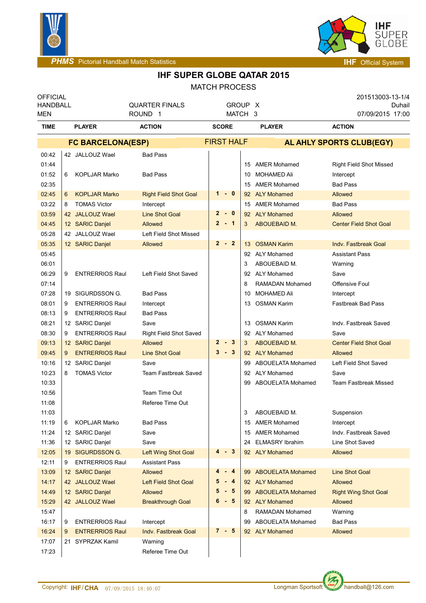



**PHMS** Pictorial Handball Match Statistics **Intervalse and Contract Contract Contract Contract Contract Contract Contract Contract Contract Contract Contract Contract Contract Contract Contract Contract Contract Contract C** 

## **IHF SUPER GLOBE QATAR 2015**

MATCH PROCESS

| <b>OFFICIAL</b><br><b>HANDBALL</b><br><b>MEN</b> |                          |                                        | <b>QUARTER FINALS</b><br>ROUND <sub>1</sub> |                        | GROUP X<br>MATCH 3 |                   |                          | 201513003-13-1/4<br>Duhail<br>07/09/2015 17:00 |  |  |
|--------------------------------------------------|--------------------------|----------------------------------------|---------------------------------------------|------------------------|--------------------|-------------------|--------------------------|------------------------------------------------|--|--|
| <b>TIME</b>                                      |                          | <b>PLAYER</b>                          | <b>ACTION</b>                               | <b>SCORE</b>           |                    |                   | <b>PLAYER</b>            | <b>ACTION</b>                                  |  |  |
|                                                  | <b>FC BARCELONA(ESP)</b> |                                        |                                             |                        |                    | <b>FIRST HALF</b> | AL AHLY SPORTS CLUB(EGY) |                                                |  |  |
| 00:42                                            |                          | 42 JALLOUZ Wael                        | <b>Bad Pass</b>                             |                        |                    |                   |                          |                                                |  |  |
| 01:44                                            |                          |                                        |                                             |                        |                    | 15                | <b>AMER Mohamed</b>      | Right Field Shot Missed                        |  |  |
| 01:52                                            | 6                        | <b>KOPLJAR Marko</b>                   | <b>Bad Pass</b>                             |                        |                    | 10                | <b>MOHAMED Ali</b>       | Intercept                                      |  |  |
| 02:35                                            |                          |                                        |                                             |                        |                    | 15                | <b>AMER Mohamed</b>      | <b>Bad Pass</b>                                |  |  |
| 02:45                                            | 6                        | <b>KOPLJAR Marko</b>                   | <b>Right Field Shot Goal</b>                | $1 - 0$                |                    |                   | 92 ALY Mohamed           | Allowed                                        |  |  |
| 03:22                                            | 8                        | <b>TOMAS Victor</b>                    | Intercept                                   |                        |                    | 15                | <b>AMER Mohamed</b>      | <b>Bad Pass</b>                                |  |  |
| 03:59                                            |                          | 42 JALLOUZ Wael                        | <b>Line Shot Goal</b>                       | $\mathbf{2}$<br>$-0$   |                    |                   | 92 ALY Mohamed           | Allowed                                        |  |  |
| 04:45                                            |                          | 12 SARIC Danjel                        | Allowed                                     | $\overline{2}$<br>$-1$ |                    | 3                 | ABOUEBAID M.             | <b>Center Field Shot Goal</b>                  |  |  |
| 05:28                                            |                          | 42 JALLOUZ Wael                        | Left Field Shot Missed                      |                        |                    |                   |                          |                                                |  |  |
| 05:35                                            |                          | 12 SARIC Danjel                        | Allowed                                     | $2 - 2$                |                    |                   | 13 OSMAN Karim           | <b>Indv. Fastbreak Goal</b>                    |  |  |
| 05:45                                            |                          |                                        |                                             |                        |                    |                   | 92 ALY Mohamed           | <b>Assistant Pass</b>                          |  |  |
| 06:01                                            |                          |                                        |                                             |                        |                    | 3                 | ABOUEBAID M.             | Warning                                        |  |  |
| 06:29                                            | 9                        | <b>ENTRERRIOS Raul</b>                 | Left Field Shot Saved                       |                        |                    |                   | 92 ALY Mohamed           | Save                                           |  |  |
| 07:14                                            |                          |                                        |                                             |                        |                    | 8                 | <b>RAMADAN Mohamed</b>   | Offensive Foul                                 |  |  |
| 07:28                                            |                          | 19 SIGURDSSON G.                       | <b>Bad Pass</b>                             |                        |                    | 10                | <b>MOHAMED Ali</b>       | Intercept                                      |  |  |
| 08:01                                            | 9                        | <b>ENTRERRIOS Raul</b>                 | Intercept                                   |                        |                    | 13                | <b>OSMAN Karim</b>       | <b>Fastbreak Bad Pass</b>                      |  |  |
| 08:13                                            | 9                        | <b>ENTRERRIOS Raul</b>                 | <b>Bad Pass</b>                             |                        |                    |                   |                          |                                                |  |  |
| 08:21                                            |                          | 12 SARIC Danjel                        | Save                                        |                        |                    | 13                | <b>OSMAN Karim</b>       | Indv. Fastbreak Saved                          |  |  |
| 08:30                                            | 9                        | <b>ENTRERRIOS Raul</b>                 | <b>Right Field Shot Saved</b>               | $\mathbf{2}$<br>- 3    |                    |                   | 92 ALY Mohamed           | Save                                           |  |  |
| 09:13                                            |                          | 12 SARIC Danjel                        | Allowed                                     | $3 - 3$                |                    | 3                 | ABOUEBAID M.             | <b>Center Field Shot Goal</b>                  |  |  |
| 09:45                                            | 9                        | <b>ENTRERRIOS Raul</b>                 | <b>Line Shot Goal</b>                       |                        |                    |                   | 92 ALY Mohamed           | <b>Allowed</b>                                 |  |  |
| 10:16<br>10:23                                   |                          | 12 SARIC Danjel<br><b>TOMAS Victor</b> | Save                                        |                        |                    | 99                | <b>ABOUELATA Mohamed</b> | Left Field Shot Saved                          |  |  |
|                                                  | 8                        |                                        | <b>Team Fastbreak Saved</b>                 |                        |                    | 92                | ALY Mohamed              | Save<br><b>Team Fastbreak Missed</b>           |  |  |
| 10:33<br>10:56                                   |                          |                                        | Team Time Out                               |                        |                    | 99                | ABOUELATA Mohamed        |                                                |  |  |
| 11:08                                            |                          |                                        | Referee Time Out                            |                        |                    |                   |                          |                                                |  |  |
| 11:03                                            |                          |                                        |                                             |                        |                    | 3                 | ABOUEBAID M.             | Suspension                                     |  |  |
| 11:19                                            | 6                        | <b>KOPLJAR Marko</b>                   | <b>Bad Pass</b>                             |                        |                    |                   | 15 AMER Mohamed          | Intercept                                      |  |  |
| 11:24                                            |                          | 12 SARIC Danjel                        | Save                                        |                        |                    | 15                | <b>AMER Mohamed</b>      | Indv. Fastbreak Saved                          |  |  |
| 11:36                                            |                          | 12 SARIC Danjel                        | Save                                        |                        |                    | 24                | <b>ELMASRY Ibrahim</b>   | Line Shot Saved                                |  |  |
| 12:05                                            |                          | 19 SIGURDSSON G.                       | <b>Left Wing Shot Goal</b>                  | $-3$<br>4              |                    |                   | 92 ALY Mohamed           | Allowed                                        |  |  |
| 12:11                                            | 9                        | <b>ENTRERRIOS Raul</b>                 | <b>Assistant Pass</b>                       |                        |                    |                   |                          |                                                |  |  |
| 13:09                                            |                          | 12 SARIC Danjel                        | Allowed                                     | 4<br>$-4$              |                    |                   | 99 ABOUELATA Mohamed     | <b>Line Shot Goal</b>                          |  |  |
| 14:17                                            |                          | 42 JALLOUZ Wael                        | <b>Left Field Shot Goal</b>                 | 5<br>$-4$              |                    |                   | 92 ALY Mohamed           | Allowed                                        |  |  |
| 14:49                                            |                          | 12 SARIC Danjel                        | Allowed                                     | 5<br>- 5               |                    | 99.               | <b>ABOUELATA Mohamed</b> | <b>Right Wing Shot Goal</b>                    |  |  |
| 15:29                                            |                          | 42 JALLOUZ Wael                        | <b>Breakthrough Goal</b>                    | $6 - 5$                |                    |                   | 92 ALY Mohamed           | Allowed                                        |  |  |
| 15:47                                            |                          |                                        |                                             |                        |                    | 8                 | <b>RAMADAN Mohamed</b>   | Warning                                        |  |  |
| 16:17                                            | 9                        | <b>ENTRERRIOS Raul</b>                 | Intercept                                   |                        |                    | 99                | ABOUELATA Mohamed        | <b>Bad Pass</b>                                |  |  |
| 16:24                                            | 9                        | <b>ENTRERRIOS Raul</b>                 | Indv. Fastbreak Goal                        | 7 - 5                  |                    |                   | 92 ALY Mohamed           | Allowed                                        |  |  |
| 17:07                                            |                          | 21 SYPRZAK Kamil                       | Warning                                     |                        |                    |                   |                          |                                                |  |  |
| 17:23                                            |                          |                                        | Referee Time Out                            |                        |                    |                   |                          |                                                |  |  |

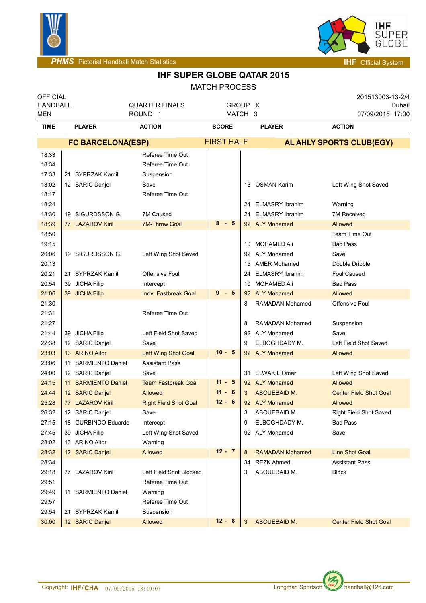



**PHMS** Pictorial Handball Match Statistics **Intervalse and Contract Contract Contract Contract Contract Contract Contract Contract Contract Contract Contract Contract Contract Contract Contract Contract Contract Contract C** 

## **IHF SUPER GLOBE QATAR 2015**

MATCH PROCESS

| <b>OFFICIAL</b><br><b>HANDBALL</b><br>MEN |                                     | <b>QUARTER FINALS</b><br>ROUND <sub>1</sub> | GROUP X<br>MATCH 3 |                   |                                | 201513003-13-2/4<br>Duhail<br>07/09/2015 17:00 |  |  |
|-------------------------------------------|-------------------------------------|---------------------------------------------|--------------------|-------------------|--------------------------------|------------------------------------------------|--|--|
| <b>TIME</b>                               | <b>PLAYER</b>                       | <b>ACTION</b>                               | <b>SCORE</b>       |                   | <b>PLAYER</b>                  | <b>ACTION</b>                                  |  |  |
|                                           | <b>FC BARCELONA(ESP)</b>            |                                             |                    | <b>FIRST HALF</b> | AL AHLY SPORTS CLUB(EGY)       |                                                |  |  |
| 18:33                                     |                                     | Referee Time Out                            |                    |                   |                                |                                                |  |  |
| 18:34                                     |                                     | Referee Time Out                            |                    |                   |                                |                                                |  |  |
| 17:33                                     | 21 SYPRZAK Kamil                    | Suspension                                  |                    |                   |                                |                                                |  |  |
| 18:02                                     | 12 SARIC Danjel                     | Save                                        |                    |                   | 13 OSMAN Karim                 | Left Wing Shot Saved                           |  |  |
| 18:17                                     |                                     | Referee Time Out                            |                    |                   |                                |                                                |  |  |
| 18:24                                     |                                     |                                             |                    | 24                | <b>ELMASRY Ibrahim</b>         | Warning                                        |  |  |
| 18:30                                     | 19 SIGURDSSON G.                    | 7M Caused                                   |                    | 24                | <b>ELMASRY Ibrahim</b>         | 7M Received                                    |  |  |
| 18:39                                     | 77 LAZAROV Kiril                    | <b>7M-Throw Goal</b>                        | $8 - 5$            |                   | 92 ALY Mohamed                 | Allowed                                        |  |  |
| 18:50                                     |                                     |                                             |                    |                   |                                | Team Time Out                                  |  |  |
| 19:15                                     |                                     |                                             |                    | 10                | MOHAMED Ali                    | <b>Bad Pass</b>                                |  |  |
| 20:06                                     | 19 SIGURDSSON G.                    | Left Wing Shot Saved                        |                    | 92                | ALY Mohamed                    | Save                                           |  |  |
| 20:13                                     |                                     |                                             |                    | 15                | <b>AMER Mohamed</b>            | Double Dribble                                 |  |  |
| 20:21                                     | 21 SYPRZAK Kamil                    | Offensive Foul                              |                    | 24                | <b>ELMASRY Ibrahim</b>         | Foul Caused                                    |  |  |
| 20:54                                     | 39 JICHA Filip                      | Intercept                                   |                    | 10                | <b>MOHAMED Ali</b>             | <b>Bad Pass</b>                                |  |  |
| 21:06                                     | 39 JICHA Filip                      | <b>Indv. Fastbreak Goal</b>                 | $9 - 5$            |                   | 92 ALY Mohamed                 | Allowed                                        |  |  |
| 21:30                                     |                                     |                                             |                    | 8                 | <b>RAMADAN Mohamed</b>         | <b>Offensive Foul</b>                          |  |  |
| 21:31                                     |                                     | Referee Time Out                            |                    |                   |                                |                                                |  |  |
| 21:27                                     |                                     |                                             |                    | 8                 | <b>RAMADAN Mohamed</b>         | Suspension                                     |  |  |
| 21:44                                     | 39 JICHA Filip                      | Left Field Shot Saved                       |                    | 92                | ALY Mohamed                    | Save                                           |  |  |
| 22:38                                     | 12 SARIC Danjel                     | Save                                        |                    | 9                 | ELBOGHDADY M.                  | Left Field Shot Saved                          |  |  |
| 23:03                                     | 13 ARINO Aitor                      | <b>Left Wing Shot Goal</b>                  | $10 - 5$           |                   | 92 ALY Mohamed                 | Allowed                                        |  |  |
| 23:06                                     | 11 SARMIENTO Daniel                 | <b>Assistant Pass</b>                       |                    |                   |                                |                                                |  |  |
| 24:00                                     | 12 SARIC Danjel                     | Save                                        | $11 - 5$           |                   | 31 ELWAKIL Omar                | Left Wing Shot Saved                           |  |  |
| 24:15                                     | 11 SARMIENTO Daniel                 | <b>Team Fastbreak Goal</b>                  | $11 - 6$           |                   | 92 ALY Mohamed                 | Allowed                                        |  |  |
| 24:44<br>25:28                            | 12 SARIC Danjel<br>77 LAZAROV Kiril | <b>Allowed</b>                              | $12 - 6$           | 3                 | ABOUEBAID M.<br>92 ALY Mohamed | <b>Center Field Shot Goal</b><br>Allowed       |  |  |
|                                           | 12 SARIC Danjel                     | <b>Right Field Shot Goal</b><br>Save        |                    | 3                 |                                |                                                |  |  |
| 26:32<br>27:15                            | 18 GURBINDO Eduardo                 |                                             |                    | 9                 | ABOUEBAID M.<br>ELBOGHDADY M.  | Right Field Shot Saved<br>Bad Pass             |  |  |
| 27:45                                     | 39 JICHA Filip                      | Intercept<br>Left Wing Shot Saved           |                    |                   | 92 ALY Mohamed                 | Save                                           |  |  |
| 28:02                                     | 13 ARINO Aitor                      | Warning                                     |                    |                   |                                |                                                |  |  |
| 28:32                                     | 12 SARIC Danjel                     | Allowed                                     | $12 - 7$           | 8                 | <b>RAMADAN Mohamed</b>         | <b>Line Shot Goal</b>                          |  |  |
| 28:34                                     |                                     |                                             |                    | 34                | REZK Ahmed                     | <b>Assistant Pass</b>                          |  |  |
| 29:18                                     | 77 LAZAROV Kiril                    | Left Field Shot Blocked                     |                    | 3                 | ABOUEBAID M.                   | <b>Block</b>                                   |  |  |
| 29:51                                     |                                     | Referee Time Out                            |                    |                   |                                |                                                |  |  |
| 29:49                                     | 11 SARMIENTO Daniel                 | Warning                                     |                    |                   |                                |                                                |  |  |
| 29:57                                     |                                     | Referee Time Out                            |                    |                   |                                |                                                |  |  |
| 29:54                                     | 21 SYPRZAK Kamil                    | Suspension                                  |                    |                   |                                |                                                |  |  |
| 30:00                                     | 12 SARIC Danjel                     | Allowed                                     | $12 - 8$           | 3                 | <b>ABOUEBAID M.</b>            | <b>Center Field Shot Goal</b>                  |  |  |
|                                           |                                     |                                             |                    |                   |                                |                                                |  |  |

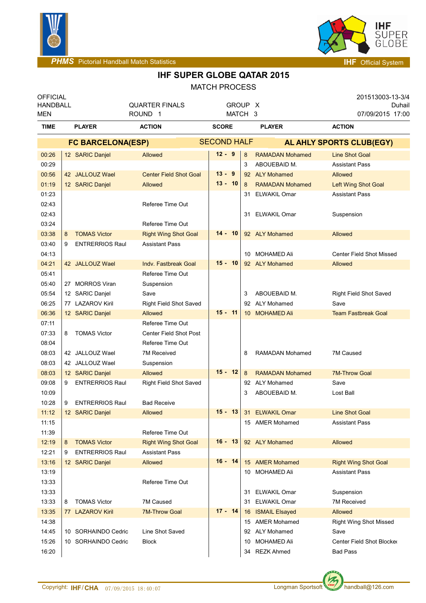



**PHMS** Pictorial Handball Match Statistics **Intervention Control of Control Control of The Official System** 

## **IHF SUPER GLOBE QATAR 2015**

## MATCH PROCESS

| <b>OFFICIAL</b><br><b>HANDBALL</b><br>MEN |               |                          | <b>QUARTER FINALS</b><br>ROUND <sub>1</sub> |  |                    |  | GROUP X<br>MATCH 3 |                        |  | 201513003-13-3/4<br>07/09/2015 17:00 | Duhail |  |
|-------------------------------------------|---------------|--------------------------|---------------------------------------------|--|--------------------|--|--------------------|------------------------|--|--------------------------------------|--------|--|
| <b>TIME</b>                               | <b>PLAYER</b> |                          | <b>ACTION</b>                               |  | <b>SCORE</b>       |  |                    | <b>PLAYER</b>          |  | <b>ACTION</b>                        |        |  |
|                                           |               | <b>FC BARCELONA(ESP)</b> |                                             |  | <b>SECOND HALF</b> |  |                    |                        |  | AL AHLY SPORTS CLUB(EGY)             |        |  |
| 00:26                                     |               | 12 SARIC Danjel          | Allowed                                     |  | $12 - 9$           |  | 8                  | <b>RAMADAN Mohamed</b> |  | <b>Line Shot Goal</b>                |        |  |
| 00:29                                     |               |                          |                                             |  |                    |  | 3                  | ABOUEBAID M.           |  | <b>Assistant Pass</b>                |        |  |
| 00:56                                     |               | 42 JALLOUZ Wael          | <b>Center Field Shot Goal</b>               |  | $13 - 9$           |  | 92                 | <b>ALY Mohamed</b>     |  | Allowed                              |        |  |
| 01:19                                     |               | 12 SARIC Danjel          | Allowed                                     |  | $13 - 10$          |  | 8                  | <b>RAMADAN Mohamed</b> |  | Left Wing Shot Goal                  |        |  |
| 01:23                                     |               |                          |                                             |  |                    |  | 31                 | <b>ELWAKIL Omar</b>    |  | <b>Assistant Pass</b>                |        |  |
| 02:43                                     |               |                          | Referee Time Out                            |  |                    |  |                    |                        |  |                                      |        |  |
| 02:43                                     |               |                          |                                             |  |                    |  |                    | 31 ELWAKIL Omar        |  | Suspension                           |        |  |
| 03:24                                     |               |                          | Referee Time Out                            |  |                    |  |                    |                        |  |                                      |        |  |
| 03:38                                     | 8             | <b>TOMAS Victor</b>      | <b>Right Wing Shot Goal</b>                 |  | $14 - 10$          |  |                    | 92 ALY Mohamed         |  | Allowed                              |        |  |
| 03:40                                     | 9             | <b>ENTRERRIOS Raul</b>   | <b>Assistant Pass</b>                       |  |                    |  |                    |                        |  |                                      |        |  |
| 04:13                                     |               |                          |                                             |  |                    |  |                    | 10 MOHAMED Ali         |  | <b>Center Field Shot Missed</b>      |        |  |
| 04:21                                     |               | 42 JALLOUZ Wael          | Indy, Fastbreak Goal                        |  | $15 - 10$          |  |                    | 92 ALY Mohamed         |  | Allowed                              |        |  |
| 05:41                                     |               |                          | Referee Time Out                            |  |                    |  |                    |                        |  |                                      |        |  |
| 05:40                                     |               | 27 MORROS Viran          | Suspension                                  |  |                    |  |                    |                        |  |                                      |        |  |
| 05:54                                     |               | 12 SARIC Danjel          | Save                                        |  |                    |  | 3                  | ABOUEBAID M.           |  | <b>Right Field Shot Saved</b>        |        |  |
| 06:25                                     |               | 77 LAZAROV Kiril         | Right Field Shot Saved                      |  |                    |  |                    | 92 ALY Mohamed         |  | Save                                 |        |  |
| 06:36                                     |               | 12 SARIC Danjel          | Allowed                                     |  | $15 - 11$          |  |                    | 10 MOHAMED Ali         |  | <b>Team Fastbreak Goal</b>           |        |  |
| 07:11                                     |               |                          | Referee Time Out                            |  |                    |  |                    |                        |  |                                      |        |  |
| 07:33                                     | 8             | <b>TOMAS Victor</b>      | Center Field Shot Post                      |  |                    |  |                    |                        |  |                                      |        |  |
| 08:04                                     |               |                          | Referee Time Out                            |  |                    |  |                    |                        |  |                                      |        |  |
| 08:03                                     |               | 42 JALLOUZ Wael          | <b>7M Received</b>                          |  |                    |  | 8                  | <b>RAMADAN Mohamed</b> |  | 7M Caused                            |        |  |
| 08:03                                     |               | 42 JALLOUZ Wael          | Suspension                                  |  |                    |  |                    |                        |  |                                      |        |  |
| 08:03                                     |               | 12 SARIC Danjel          | Allowed                                     |  | $15 - 12$          |  | 8                  | <b>RAMADAN Mohamed</b> |  | <b>7M-Throw Goal</b>                 |        |  |
| 09:08                                     | 9             | <b>ENTRERRIOS Raul</b>   | Right Field Shot Saved                      |  |                    |  | 92                 | <b>ALY Mohamed</b>     |  | Save                                 |        |  |
| 10:09                                     |               |                          |                                             |  |                    |  | 3                  | ABOUEBAID M.           |  | Lost Ball                            |        |  |
| 10:28                                     | 9             | <b>ENTRERRIOS Raul</b>   | <b>Bad Receive</b>                          |  |                    |  |                    |                        |  |                                      |        |  |
| 11:12                                     |               | 12 SARIC Danjel          | <b>Allowed</b>                              |  | $15 - 13$          |  |                    | 31 ELWAKIL Omar        |  | Line Shot Goal                       |        |  |
| 11:15                                     |               |                          |                                             |  |                    |  |                    | 15 AMER Mohamed        |  | <b>Assistant Pass</b>                |        |  |
| 11:39                                     |               |                          | Referee Time Out                            |  |                    |  |                    |                        |  |                                      |        |  |
| 12:19                                     | 8             | <b>TOMAS Victor</b>      | <b>Right Wing Shot Goal</b>                 |  | $16 - 13$          |  |                    | 92 ALY Mohamed         |  | Allowed                              |        |  |
| 12:21                                     | 9             | <b>ENTRERRIOS Raul</b>   | <b>Assistant Pass</b>                       |  |                    |  |                    |                        |  |                                      |        |  |
| 13:16                                     |               | 12 SARIC Danjel          | <b>Allowed</b>                              |  | $16 - 14$          |  |                    | 15 AMER Mohamed        |  | <b>Right Wing Shot Goal</b>          |        |  |
| 13:19                                     |               |                          |                                             |  |                    |  |                    | 10 MOHAMED Ali         |  | <b>Assistant Pass</b>                |        |  |
| 13:33                                     |               |                          | Referee Time Out                            |  |                    |  |                    |                        |  |                                      |        |  |
| 13:33                                     |               |                          |                                             |  |                    |  | 31                 | <b>ELWAKIL Omar</b>    |  | Suspension                           |        |  |
| 13:33                                     | 8             | <b>TOMAS Victor</b>      | 7M Caused                                   |  | $17 - 14$          |  | 31                 | <b>ELWAKIL Omar</b>    |  | <b>7M Received</b>                   |        |  |
| 13:35                                     |               | 77 LAZAROV Kiril         | <b>7M-Throw Goal</b>                        |  |                    |  |                    | 16 ISMAIL Elsayed      |  | Allowed                              |        |  |
| 14:38                                     |               |                          |                                             |  |                    |  |                    | 15 AMER Mohamed        |  | <b>Right Wing Shot Missed</b>        |        |  |
| 14:45                                     |               | 10 SORHAINDO Cedric      | Line Shot Saved                             |  |                    |  |                    | 92 ALY Mohamed         |  | Save                                 |        |  |
| 15:26                                     |               | 10 SORHAINDO Cedric      | Block                                       |  |                    |  | 10                 | MOHAMED Ali            |  | Center Field Shot Blocker            |        |  |
| 16:20                                     |               |                          |                                             |  |                    |  |                    | 34 REZK Ahmed          |  | <b>Bad Pass</b>                      |        |  |